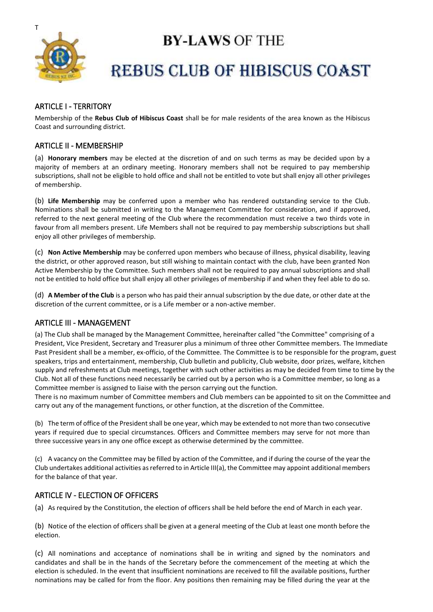

# **BY-LAWS OF THE**

# **REBUS CLUB OF HIBISCUS COAST**

# ARTICLE I - TERRITORY

Membership of the **Rebus Club of Hibiscus Coast** shall be for male residents of the area known as the Hibiscus Coast and surrounding district.

# ARTICLE II - MEMBERSHIP

(a) **Honorary members** may be elected at the discretion of and on such terms as may be decided upon by a majority of members at an ordinary meeting. Honorary members shall not be required to pay membership subscriptions, shall not be eligible to hold office and shall not be entitled to vote but shall enjoy all other privileges of membership.

(b) **Life Membership** may be conferred upon a member who has rendered outstanding service to the Club. Nominations shall be submitted in writing to the Management Committee for consideration, and if approved, referred to the next general meeting of the Club where the recommendation must receive a two thirds vote in favour from all members present. Life Members shall not be required to pay membership subscriptions but shall enjoy all other privileges of membership.

(c) **Non Active Membership** may be conferred upon members who because of illness, physical disability, leaving the district, or other approved reason, but still wishing to maintain contact with the club, have been granted Non Active Membership by the Committee. Such members shall not be required to pay annual subscriptions and shall not be entitled to hold office but shall enjoy all other privileges of membership if and when they feel able to do so.

(d) **A Member of the Club** is a person who has paid their annual subscription by the due date, or other date at the discretion of the current committee, or is a Life member or a non-active member.

# ARTICLE III - MANAGEMENT

(a) The Club shall be managed by the Management Committee, hereinafter called "the Committee" comprising of a President, Vice President, Secretary and Treasurer plus a minimum of three other Committee members. The Immediate Past President shall be a member, ex-officio, of the Committee. The Committee is to be responsible for the program, guest speakers, trips and entertainment, membership, Club bulletin and publicity, Club website, door prizes, welfare, kitchen supply and refreshments at Club meetings, together with such other activities as may be decided from time to time by the Club. Not all of these functions need necessarily be carried out by a person who is a Committee member, so long as a Committee member is assigned to liaise with the person carrying out the function.

There is no maximum number of Committee members and Club members can be appointed to sit on the Committee and carry out any of the management functions, or other function, at the discretion of the Committee.

(b) The term of office of the President shall be one year, which may be extended to not more than two consecutive years if required due to special circumstances. Officers and Committee members may serve for not more than three successive years in any one office except as otherwise determined by the committee.

(c) A vacancy on the Committee may be filled by action of the Committee, and if during the course of the year the Club undertakes additional activities as referred to in Article III(a), the Committee may appoint additional members for the balance of that year.

# ARTICLE IV - ELECTION OF OFFICERS

(a) As required by the Constitution, the election of officers shall be held before the end of March in each year.

(b) Notice of the election of officers shall be given at a general meeting of the Club at least one month before the election.

(c) All nominations and acceptance of nominations shall be in writing and signed by the nominators and candidates and shall be in the hands of the Secretary before the commencement of the meeting at which the election is scheduled. In the event that insufficient nominations are received to fill the available positions, further nominations may be called for from the floor. Any positions then remaining may be filled during the year at the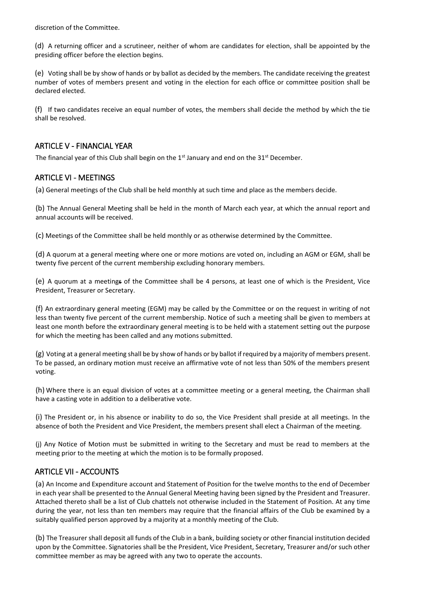discretion of the Committee.

(d) A returning officer and a scrutineer, neither of whom are candidates for election, shall be appointed by the presiding officer before the election begins.

(e) Voting shall be by show of hands or by ballot as decided by the members. The candidate receiving the greatest number of votes of members present and voting in the election for each office or committee position shall be declared elected.

(f) If two candidates receive an equal number of votes, the members shall decide the method by which the tie shall be resolved.

#### ARTICLE V - FINANCIAL YEAR

The financial year of this Club shall begin on the  $1<sup>st</sup>$  January and end on the  $31<sup>st</sup>$  December.

#### ARTICLE VI - MEETINGS

(a) General meetings of the Club shall be held monthly at such time and place as the members decide.

(b) The Annual General Meeting shall be held in the month of March each year, at which the annual report and annual accounts will be received.

(c) Meetings of the Committee shall be held monthly or as otherwise determined by the Committee.

(d) A quorum at a general meeting where one or more motions are voted on, including an AGM or EGM, shall be twenty five percent of the current membership excluding honorary members.

(e) A quorum at a meetings of the Committee shall be 4 persons, at least one of which is the President, Vice President, Treasurer or Secretary.

(f) An extraordinary general meeting (EGM) may be called by the Committee or on the request in writing of not less than twenty five percent of the current membership. Notice of such a meeting shall be given to members at least one month before the extraordinary general meeting is to be held with a statement setting out the purpose for which the meeting has been called and any motions submitted.

(g) Voting at a general meeting shall be by show of hands or by ballot if required by a majority of members present. To be passed, an ordinary motion must receive an affirmative vote of not less than 50% of the members present voting.

(h) Where there is an equal division of votes at a committee meeting or a general meeting, the Chairman shall have a casting vote in addition to a deliberative vote.

(i) The President or, in his absence or inability to do so, the Vice President shall preside at all meetings. In the absence of both the President and Vice President, the members present shall elect a Chairman of the meeting.

(j) Any Notice of Motion must be submitted in writing to the Secretary and must be read to members at the meeting prior to the meeting at which the motion is to be formally proposed.

# ARTICLE VII - ACCOUNTS

(a) An Income and Expenditure account and Statement of Position for the twelve months to the end of December in each year shall be presented to the Annual General Meeting having been signed by the President and Treasurer. Attached thereto shall be a list of Club chattels not otherwise included in the Statement of Position. At any time during the year, not less than ten members may require that the financial affairs of the Club be examined by a suitably qualified person approved by a majority at a monthly meeting of the Club.

(b) The Treasurer shall deposit all funds of the Club in a bank, building society or other financial institution decided upon by the Committee. Signatories shall be the President, Vice President, Secretary, Treasurer and/or such other committee member as may be agreed with any two to operate the accounts.